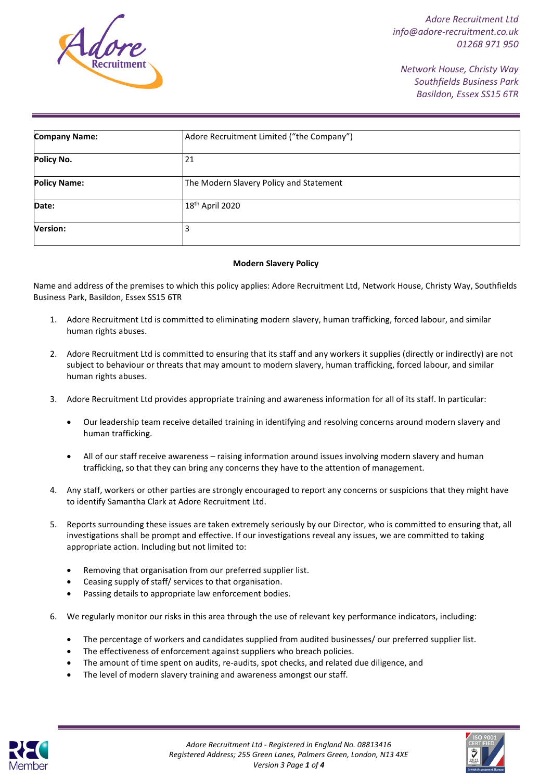

*Network House, Christy Way Southfields Business Park Basildon, Essex SS15 6TR*

| <b>Company Name:</b> | Adore Recruitment Limited ("the Company") |
|----------------------|-------------------------------------------|
| Policy No.           | 21                                        |
| <b>Policy Name:</b>  | The Modern Slavery Policy and Statement   |
| Date:                | 18 <sup>th</sup> April 2020               |
| <b>Version:</b>      | 3                                         |

#### **Modern Slavery Policy**

Name and address of the premises to which this policy applies: Adore Recruitment Ltd, Network House, Christy Way, Southfields Business Park, Basildon, Essex SS15 6TR

- 1. Adore Recruitment Ltd is committed to eliminating modern slavery, human trafficking, forced labour, and similar human rights abuses.
- 2. Adore Recruitment Ltd is committed to ensuring that its staff and any workers it supplies (directly or indirectly) are not subject to behaviour or threats that may amount to modern slavery, human trafficking, forced labour, and similar human rights abuses.
- 3. Adore Recruitment Ltd provides appropriate training and awareness information for all of its staff. In particular:
	- Our leadership team receive detailed training in identifying and resolving concerns around modern slavery and human trafficking.
	- All of our staff receive awareness raising information around issues involving modern slavery and human trafficking, so that they can bring any concerns they have to the attention of management.
- 4. Any staff, workers or other parties are strongly encouraged to report any concerns or suspicions that they might have to identify Samantha Clark at Adore Recruitment Ltd.
- 5. Reports surrounding these issues are taken extremely seriously by our Director, who is committed to ensuring that, all investigations shall be prompt and effective. If our investigations reveal any issues, we are committed to taking appropriate action. Including but not limited to:
	- Removing that organisation from our preferred supplier list.
	- Ceasing supply of staff/ services to that organisation.
	- Passing details to appropriate law enforcement bodies.
- 6. We regularly monitor our risks in this area through the use of relevant key performance indicators, including:
	- The percentage of workers and candidates supplied from audited businesses/ our preferred supplier list.
	- The effectiveness of enforcement against suppliers who breach policies.
	- The amount of time spent on audits, re-audits, spot checks, and related due diligence, and
	- The level of modern slavery training and awareness amongst our staff.



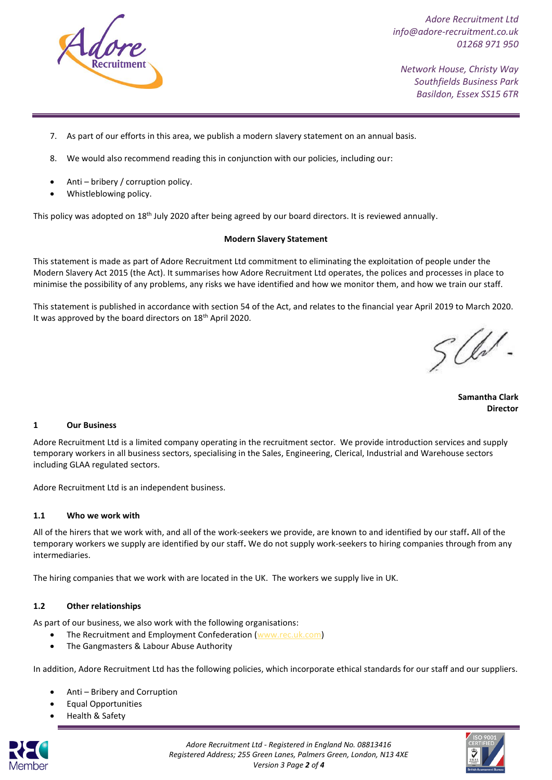

*Network House, Christy Way Southfields Business Park Basildon, Essex SS15 6TR*

- 7. As part of our efforts in this area, we publish a modern slavery statement on an annual basis.
- 8. We would also recommend reading this in conjunction with our policies, including our:
- Anti bribery / corruption policy.
- Whistleblowing policy.

This policy was adopted on 18<sup>th</sup> July 2020 after being agreed by our board directors. It is reviewed annually.

### **Modern Slavery Statement**

This statement is made as part of Adore Recruitment Ltd commitment to eliminating the exploitation of people under the Modern Slavery Act 2015 (the Act). It summarises how Adore Recruitment Ltd operates, the polices and processes in place to minimise the possibility of any problems, any risks we have identified and how we monitor them, and how we train our staff.

This statement is published in accordance with section 54 of the Act, and relates to the financial year April 2019 to March 2020. It was approved by the board directors on 18<sup>th</sup> April 2020.

W/

**Samantha Clark Director**

### **1 Our Business**

Adore Recruitment Ltd is a limited company operating in the recruitment sector. We provide introduction services and supply temporary workers in all business sectors, specialising in the Sales, Engineering, Clerical, Industrial and Warehouse sectors including GLAA regulated sectors.

Adore Recruitment Ltd is an independent business.

### **1.1 Who we work with**

All of the hirers that we work with, and all of the work-seekers we provide, are known to and identified by our staff**.** All of the temporary workers we supply are identified by our staff**.** We do not supply work-seekers to hiring companies through from any intermediaries.

The hiring companies that we work with are located in the UK. The workers we supply live in UK.

### **1.2 Other relationships**

As part of our business, we also work with the following organisations:

- The Recruitment and Employment Confederation [\(www.rec.uk.com\)](http://www.rec.uk.com/)
- The Gangmasters & Labour Abuse Authority

In addition, Adore Recruitment Ltd has the following policies, which incorporate ethical standards for our staff and our suppliers.

- Anti Bribery and Corruption
- Equal Opportunities
- Health & Safety



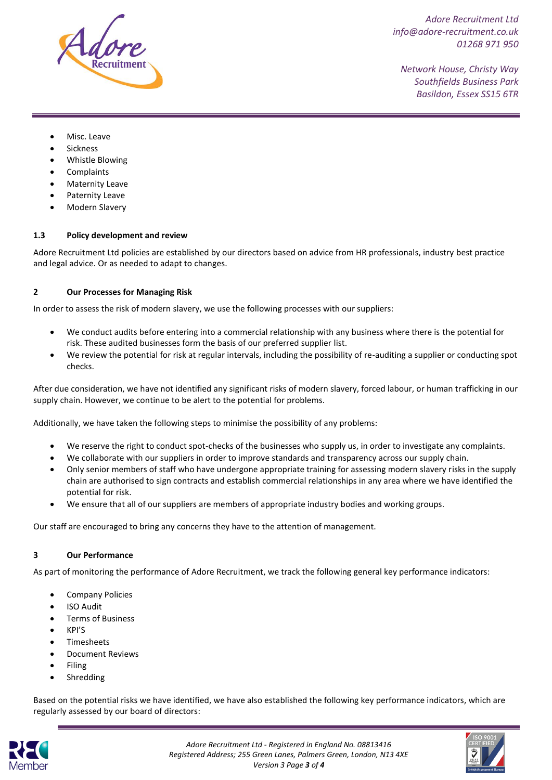

*Network House, Christy Way Southfields Business Park Basildon, Essex SS15 6TR*

- Misc. Leave
- Sickness
- Whistle Blowing
- **Complaints**
- **Maternity Leave**
- Paternity Leave
- Modern Slavery

### **1.3 Policy development and review**

Adore Recruitment Ltd policies are established by our directors based on advice from HR professionals, industry best practice and legal advice. Or as needed to adapt to changes.

## **2 Our Processes for Managing Risk**

In order to assess the risk of modern slavery, we use the following processes with our suppliers:

- We conduct audits before entering into a commercial relationship with any business where there is the potential for risk. These audited businesses form the basis of our preferred supplier list.
- We review the potential for risk at regular intervals, including the possibility of re-auditing a supplier or conducting spot checks.

After due consideration, we have not identified any significant risks of modern slavery, forced labour, or human trafficking in our supply chain. However, we continue to be alert to the potential for problems.

Additionally, we have taken the following steps to minimise the possibility of any problems:

- We reserve the right to conduct spot-checks of the businesses who supply us, in order to investigate any complaints.
- We collaborate with our suppliers in order to improve standards and transparency across our supply chain.
- Only senior members of staff who have undergone appropriate training for assessing modern slavery risks in the supply chain are authorised to sign contracts and establish commercial relationships in any area where we have identified the potential for risk.
- We ensure that all of our suppliers are members of appropriate industry bodies and working groups.

Our staff are encouraged to bring any concerns they have to the attention of management.

### **3 Our Performance**

As part of monitoring the performance of Adore Recruitment, we track the following general key performance indicators:

- Company Policies
- ISO Audit
- Terms of Business
- KPI'S
- Timesheets
- Document Reviews
- Filing
- **Shredding**

Based on the potential risks we have identified, we have also established the following key performance indicators, which are regularly assessed by our board of directors: